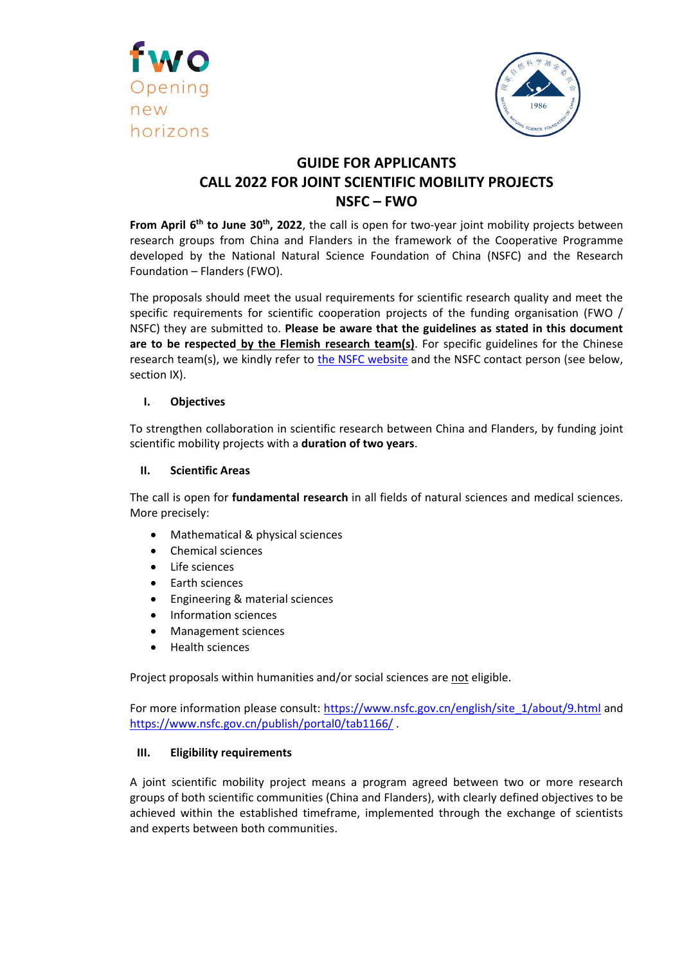



# **GUIDE FOR APPLICANTS CALL 2022 FOR JOINT SCIENTIFIC MOBILITY PROJECTS NSFC – FWO**

**From April 6 th to June 30th , 2022**, the call is open for two-year joint mobility projects between research groups from China and Flanders in the framework of the Cooperative Programme developed by the National Natural Science Foundation of China (NSFC) and the Research Foundation – Flanders (FWO).

The proposals should meet the usual requirements for scientific research quality and meet the specific requirements for scientific cooperation projects of the funding organisation (FWO / NSFC) they are submitted to. **Please be aware that the guidelines as stated in this document are to be respected by the Flemish research team(s)**. For specific guidelines for the Chinese research team(s), we kindly refer to [the NSFC website](https://bic.nsfc.gov.cn/Show.aspx?CI=22) and the NSFC contact person (see below, section IX).

# **I. Objectives**

To strengthen collaboration in scientific research between China and Flanders, by funding joint scientific mobility projects with a **duration of two years**.

## **II. Scientific Areas**

The call is open for **fundamental research** in all fields of natural sciences and medical sciences. More precisely:

- Mathematical & physical sciences
- Chemical sciences
- Life sciences
- Earth sciences
- Engineering & material sciences
- Information sciences
- Management sciences
- Health sciences

Project proposals within humanities and/or social sciences are not eligible.

For more information please consult: [https://www.nsfc.gov.cn/english/site\\_1/about/9.html](https://www.nsfc.gov.cn/english/site_1/about/9.html) and https://www.nsfc.gov.cn/publish/portal0/tab1166/ .

#### **III. Eligibility requirements**

A joint scientific mobility project means a program agreed between two or more research groups of both scientific communities (China and Flanders), with clearly defined objectives to be achieved within the established timeframe, implemented through the exchange of scientists and experts between both communities.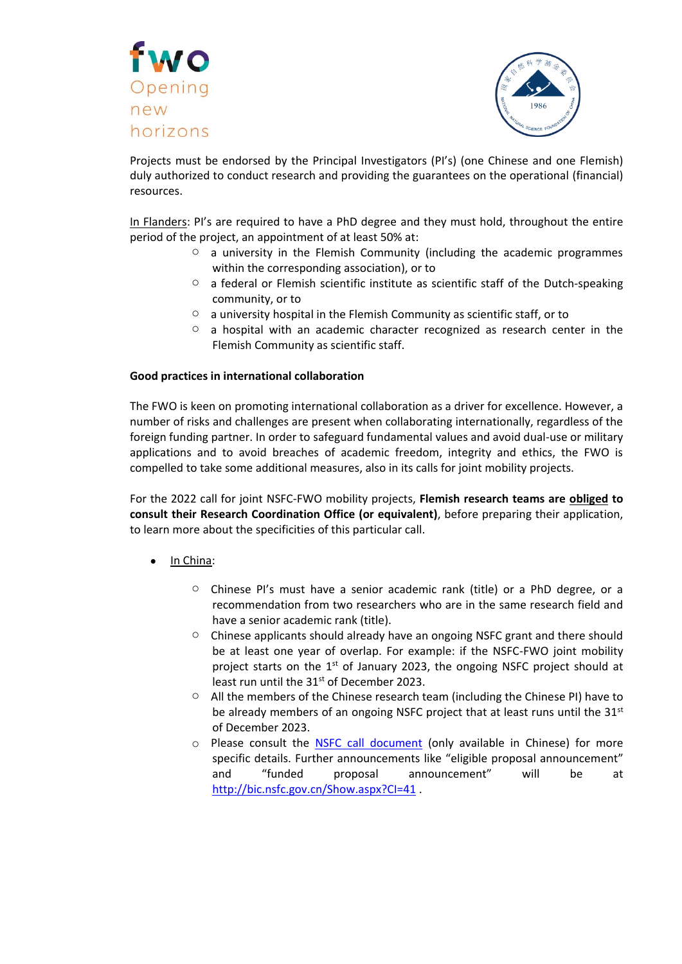



Projects must be endorsed by the Principal Investigators (PI's) (one Chinese and one Flemish) duly authorized to conduct research and providing the guarantees on the operational (financial) resources.

In Flanders: PI's are required to have a PhD degree and they must hold, throughout the entire period of the project, an appointment of at least 50% at:

- $\circ$  a university in the Flemish Community (including the academic programmes within the corresponding association), or to
- o a federal or Flemish scientific institute as scientific staff of the Dutch-speaking community, or to
- $\circ$  a university hospital in the Flemish Community as scientific staff, or to
- $\circ$  a hospital with an academic character recognized as research center in the Flemish Community as scientific staff.

## **Good practices in international collaboration**

The FWO is keen on promoting international collaboration as a driver for excellence. However, a number of risks and challenges are present when collaborating internationally, regardless of the foreign funding partner. In order to safeguard fundamental values and avoid dual-use or military applications and to avoid breaches of academic freedom, integrity and ethics, the FWO is compelled to take some additional measures, also in its calls for joint mobility projects.

For the 2022 call for joint NSFC-FWO mobility projects, **Flemish research teams are obliged to consult their Research Coordination Office (or equivalent)**, before preparing their application, to learn more about the specificities of this particular call.

- In China:
	- $\circ$  Chinese PI's must have a senior academic rank (title) or a PhD degree, or a recommendation from two researchers who are in the same research field and have a senior academic rank (title).
	- o Chinese applicants should already have an ongoing NSFC grant and there should be at least one year of overlap. For example: if the NSFC-FWO joint mobility project starts on the 1<sup>st</sup> of January 2023, the ongoing NSFC project should at least run until the 31<sup>st</sup> of December 2023.
	- $\circ$  All the members of the Chinese research team (including the Chinese PI) have to be already members of an ongoing NSFC project that at least runs until the 31<sup>st</sup> of December 2023.
	- o Please consult the **[NSFC call document](http://www.nsfc.gov.cn/publish/portal0/tab434/module1146/more.htm)** (only available in Chinese) for more specific details. Further announcements like "eligible proposal announcement" and "funded proposal announcement" will be at <http://bic.nsfc.gov.cn/Show.aspx?CI=41>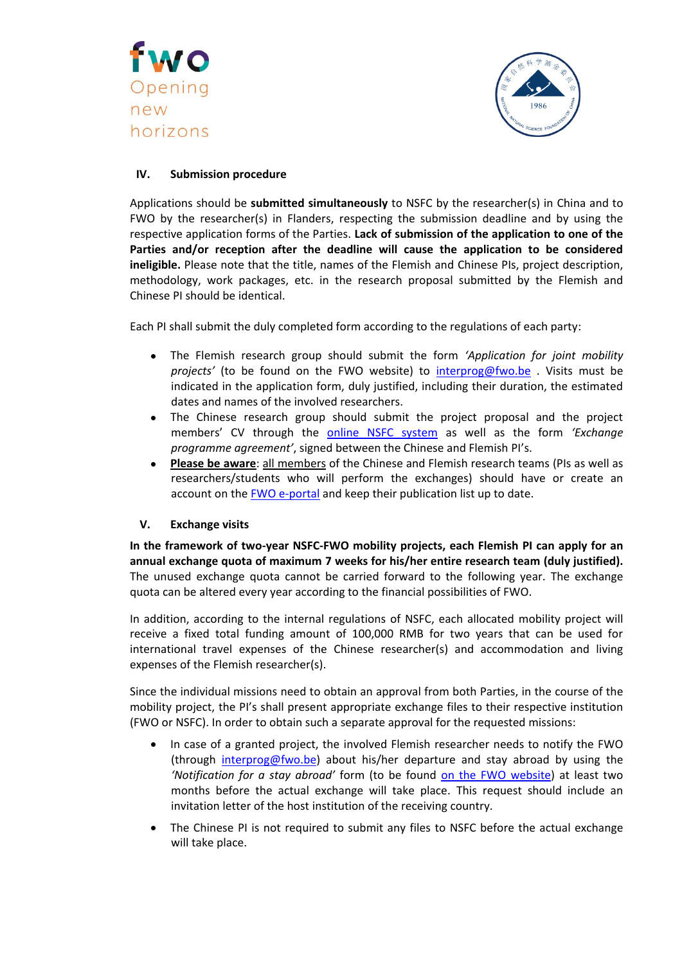



# **IV. Submission procedure**

Applications should be **submitted simultaneously** to NSFC by the researcher(s) in China and to FWO by the researcher(s) in Flanders, respecting the submission deadline and by using the respective application forms of the Parties. **Lack of submission of the application to one of the Parties and/or reception after the deadline will cause the application to be considered ineligible.** Please note that the title, names of the Flemish and Chinese PIs, project description, methodology, work packages, etc. in the research proposal submitted by the Flemish and Chinese PI should be identical.

Each PI shall submit the duly completed form according to the regulations of each party:

- The Flemish research group should submit the form *'Application for joint mobility projects'* (to be found on the FWO website) to [interprog@fwo.be](mailto:interprog@fwo.be) . Visits must be indicated in the application form, duly justified, including their duration, the estimated dates and names of the involved researchers.
- The Chinese research group should submit the project proposal and the project members' CV through the [online NSFC system](https://isisn.nsfc.gov.cn/egrantweb/) as well as the form *'Exchange programme agreement'*, signed between the Chinese and Flemish PI's.
- **Please be aware**: all members of the Chinese and Flemish research teams (PIs as well as researchers/students who will perform the exchanges) should have or create an account on the [FWO e-portal](https://fwoweb.fwo.be/) and keep their publication list up to date.

# **V. Exchange visits**

**In the framework of two-year NSFC-FWO mobility projects, each Flemish PI can apply for an annual exchange quota of maximum 7 weeks for his/her entire research team (duly justified).** The unused exchange quota cannot be carried forward to the following year. The exchange quota can be altered every year according to the financial possibilities of FWO.

In addition, according to the internal regulations of NSFC, each allocated mobility project will receive a fixed total funding amount of 100,000 RMB for two years that can be used for international travel expenses of the Chinese researcher(s) and accommodation and living expenses of the Flemish researcher(s).

Since the individual missions need to obtain an approval from both Parties, in the course of the mobility project, the PI's shall present appropriate exchange files to their respective institution (FWO or NSFC). In order to obtain such a separate approval for the requested missions:

- In case of a granted project, the involved Flemish researcher needs to notify the FWO (through [interprog@fwo.be\)](mailto:interprog@fwo.be) about his/her departure and stay abroad by using the *'Notification for a stay abroad'* form (to be found [on the FWO website\)](https://www.fwo.be/en/fellowships-funding/international-collaboration/mobility-projects/cooperation-with-china/) at least two months before the actual exchange will take place. This request should include an invitation letter of the host institution of the receiving country.
- The Chinese PI is not required to submit any files to NSFC before the actual exchange will take place.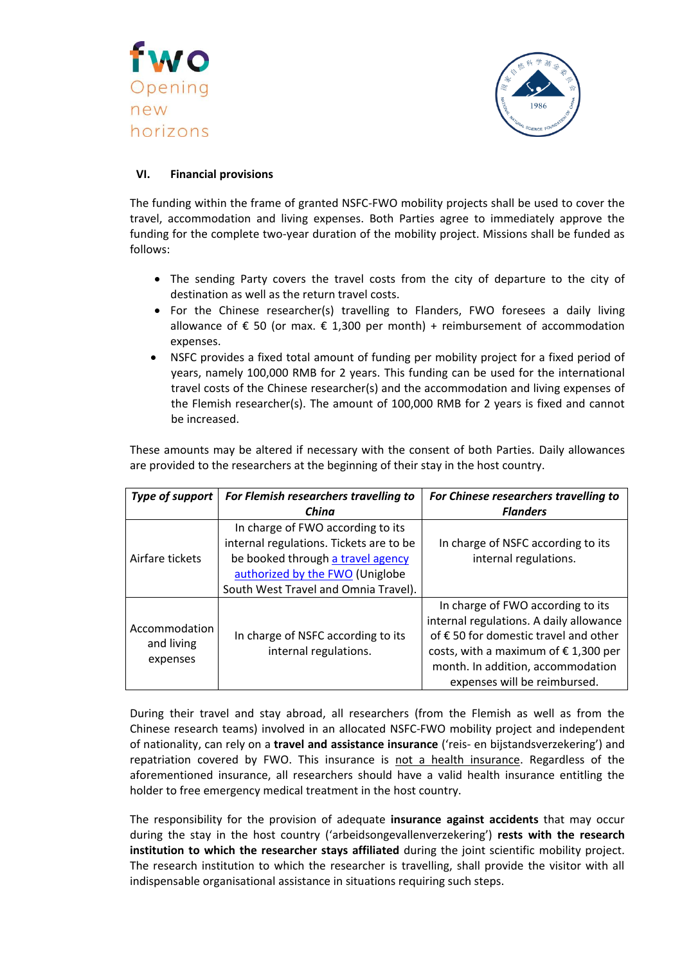



# **VI. Financial provisions**

The funding within the frame of granted NSFC-FWO mobility projects shall be used to cover the travel, accommodation and living expenses. Both Parties agree to immediately approve the funding for the complete two-year duration of the mobility project. Missions shall be funded as follows:

- The sending Party covers the travel costs from the city of departure to the city of destination as well as the return travel costs.
- For the Chinese researcher(s) travelling to Flanders, FWO foresees a daily living allowance of € 50 (or max.  $€ 1,300$  per month) + reimbursement of accommodation expenses.
- NSFC provides a fixed total amount of funding per mobility project for a fixed period of years, namely 100,000 RMB for 2 years. This funding can be used for the international travel costs of the Chinese researcher(s) and the accommodation and living expenses of the Flemish researcher(s). The amount of 100,000 RMB for 2 years is fixed and cannot be increased.

These amounts may be altered if necessary with the consent of both Parties. Daily allowances are provided to the researchers at the beginning of their stay in the host country.

| Type of support                         | For Flemish researchers travelling to                                                                                                                                                        | For Chinese researchers travelling to                                                                                                                                                                                                       |
|-----------------------------------------|----------------------------------------------------------------------------------------------------------------------------------------------------------------------------------------------|---------------------------------------------------------------------------------------------------------------------------------------------------------------------------------------------------------------------------------------------|
|                                         | China                                                                                                                                                                                        | <b>Flanders</b>                                                                                                                                                                                                                             |
| Airfare tickets                         | In charge of FWO according to its<br>internal regulations. Tickets are to be<br>be booked through a travel agency<br>authorized by the FWO (Uniglobe<br>South West Travel and Omnia Travel). | In charge of NSFC according to its<br>internal regulations.                                                                                                                                                                                 |
| Accommodation<br>and living<br>expenses | In charge of NSFC according to its<br>internal regulations.                                                                                                                                  | In charge of FWO according to its<br>internal regulations. A daily allowance<br>of € 50 for domestic travel and other<br>costs, with a maximum of $\epsilon$ 1,300 per<br>month. In addition, accommodation<br>expenses will be reimbursed. |

During their travel and stay abroad, all researchers (from the Flemish as well as from the Chinese research teams) involved in an allocated NSFC-FWO mobility project and independent of nationality, can rely on a **travel and assistance insurance** ('reis- en bijstandsverzekering') and repatriation covered by FWO. This insurance is not a health insurance. Regardless of the aforementioned insurance, all researchers should have a valid health insurance entitling the holder to free emergency medical treatment in the host country.

The responsibility for the provision of adequate **insurance against accidents** that may occur during the stay in the host country ('arbeidsongevallenverzekering') **rests with the research institution to which the researcher stays affiliated** during the joint scientific mobility project. The research institution to which the researcher is travelling, shall provide the visitor with all indispensable organisational assistance in situations requiring such steps.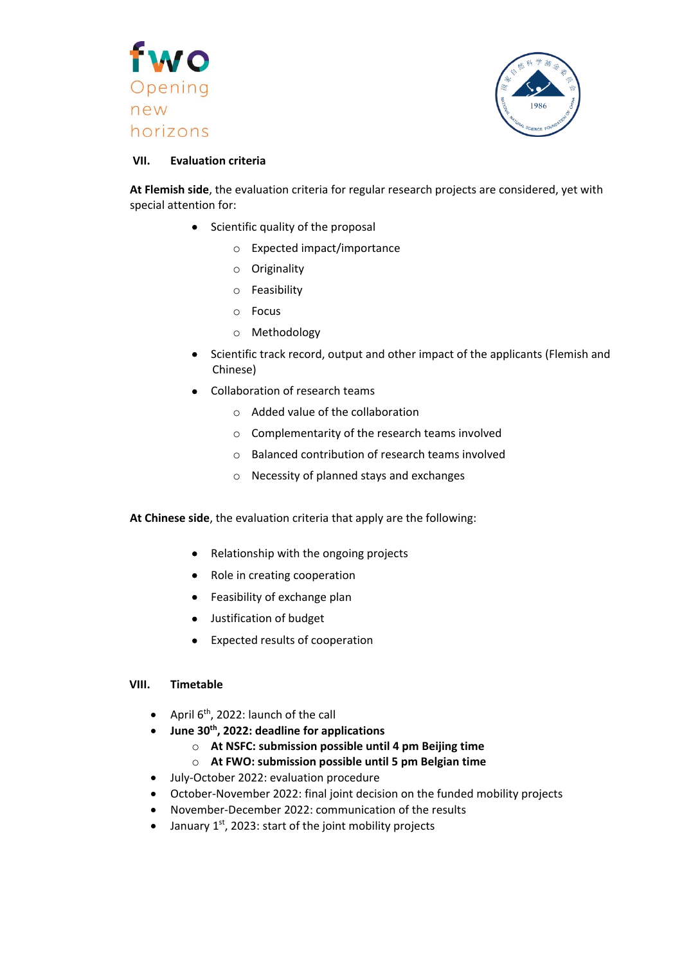



#### **VII. Evaluation criteria**

**At Flemish side**, the evaluation criteria for regular research projects are considered, yet with special attention for:

- $\bullet$  Scientific quality of the proposal
	- o Expected impact/importance
	- o Originality
	- o Feasibility
	- o Focus
	- o Methodology
- Scientific track record, output and other impact of the applicants (Flemish and Chinese)
- Collaboration of research teams
	- o Added value of the collaboration
	- o Complementarity of the research teams involved
	- o Balanced contribution of research teams involved
	- o Necessity of planned stays and exchanges

**At Chinese side**, the evaluation criteria that apply are the following:

- Relationship with the ongoing projects
- Role in creating cooperation
- Feasibility of exchange plan
- **•** Justification of budget
- Expected results of cooperation

#### **VIII. Timetable**

- April  $6<sup>th</sup>$ , 2022: launch of the call
- **June 30th , 2022: deadline for applications**
	- o **At NSFC: submission possible until 4 pm Beijing time**
	- o **At FWO: submission possible until 5 pm Belgian time**
- July-October 2022: evaluation procedure
- October-November 2022: final joint decision on the funded mobility projects
- November-December 2022: communication of the results
- January  $1^{st}$ , 2023: start of the joint mobility projects